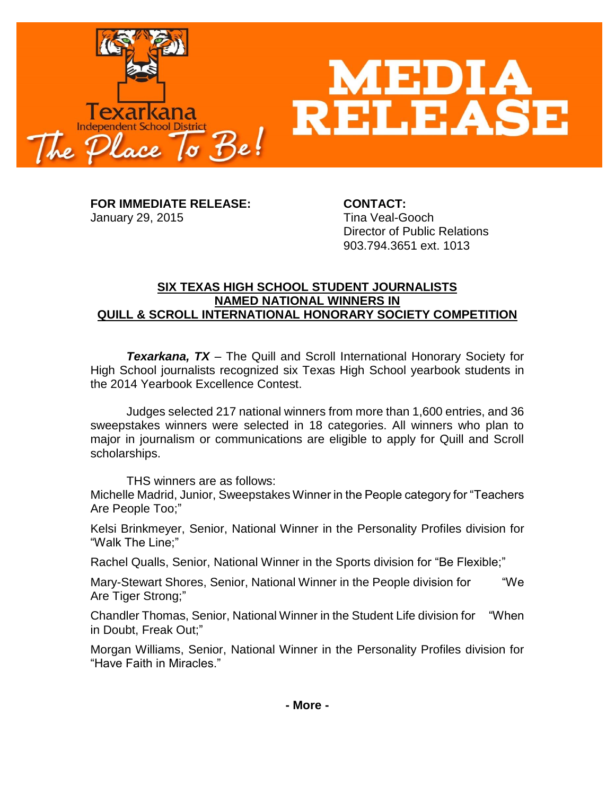

**FOR IMMEDIATE RELEASE: CONTACT:** January 29, 2015 Tina Veal-Gooch

Director of Public Relations 903.794.3651 ext. 1013

## **SIX TEXAS HIGH SCHOOL STUDENT JOURNALISTS NAMED NATIONAL WINNERS IN QUILL & SCROLL INTERNATIONAL HONORARY SOCIETY COMPETITION**

*Texarkana, TX* – The Quill and Scroll International Honorary Society for High School journalists recognized six Texas High School yearbook students in the 2014 Yearbook Excellence Contest.

Judges selected 217 national winners from more than 1,600 entries, and 36 sweepstakes winners were selected in 18 categories. All winners who plan to major in journalism or communications are eligible to apply for Quill and Scroll scholarships.

THS winners are as follows:

Michelle Madrid, Junior, Sweepstakes Winner in the People category for "Teachers Are People Too;"

Kelsi Brinkmeyer, Senior, National Winner in the Personality Profiles division for "Walk The Line;"

Rachel Qualls, Senior, National Winner in the Sports division for "Be Flexible;"

Mary-Stewart Shores, Senior, National Winner in the People division for "We Are Tiger Strong;"

Chandler Thomas, Senior, National Winner in the Student Life division for "When in Doubt, Freak Out;"

Morgan Williams, Senior, National Winner in the Personality Profiles division for "Have Faith in Miracles."